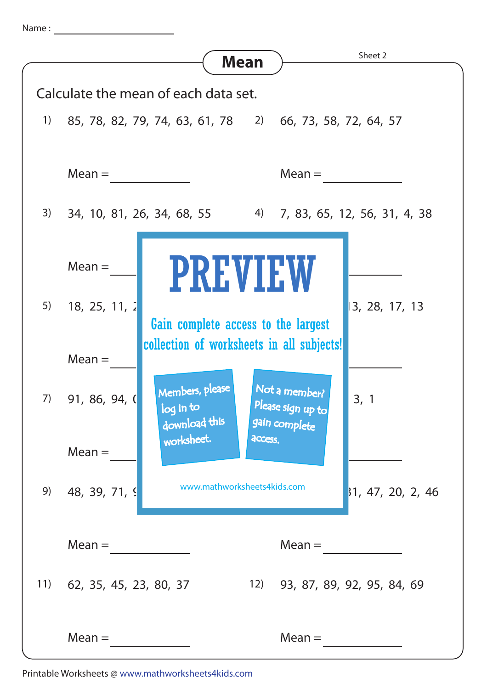